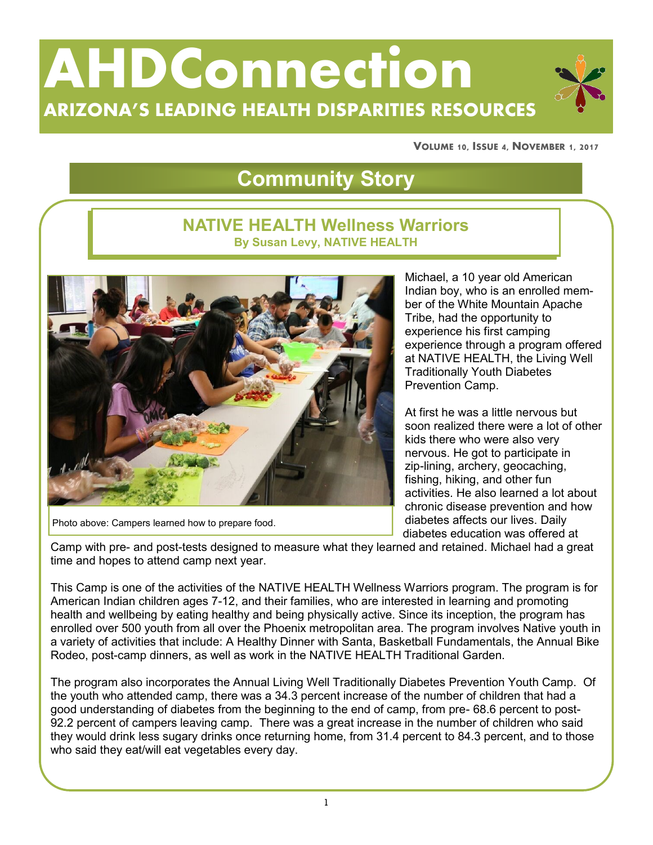# **AHDConnection ARIZONA'S LEADING HEALTH DISPARITIES RESOURCES**

**VOLUME 10, ISSUE 4, NOVEMBER 1, 2017**

# **Community Story**

#### **NATIVE HEALTH Wellness Warriors By Susan Levy, NATIVE HEALTH**



Photo above: Campers learned how to prepare food.

Michael, a 10 year old American Indian boy, who is an enrolled member of the White Mountain Apache Tribe, had the opportunity to experience his first camping experience through a program offered at NATIVE HEALTH, the Living Well Traditionally Youth Diabetes Prevention Camp.

At first he was a little nervous but soon realized there were a lot of other kids there who were also very nervous. He got to participate in zip-lining, archery, geocaching, fishing, hiking, and other fun activities. He also learned a lot about chronic disease prevention and how diabetes affects our lives. Daily diabetes education was offered at

Camp with pre- and post-tests designed to measure what they learned and retained. Michael had a great time and hopes to attend camp next year.

This Camp is one of the activities of the NATIVE HEALTH Wellness Warriors program. The program is for American Indian children ages 7-12, and their families, who are interested in learning and promoting health and wellbeing by eating healthy and being physically active. Since its inception, the program has enrolled over 500 youth from all over the Phoenix metropolitan area. The program involves Native youth in a variety of activities that include: A Healthy Dinner with Santa, Basketball Fundamentals, the Annual Bike Rodeo, post-camp dinners, as well as work in the NATIVE HEALTH Traditional Garden.

The program also incorporates the Annual Living Well Traditionally Diabetes Prevention Youth Camp. Of the youth who attended camp, there was a 34.3 percent increase of the number of children that had a good understanding of diabetes from the beginning to the end of camp, from pre- 68.6 percent to post-92.2 percent of campers leaving camp. There was a great increase in the number of children who said they would drink less sugary drinks once returning home, from 31.4 percent to 84.3 percent, and to those who said they eat/will eat vegetables every day.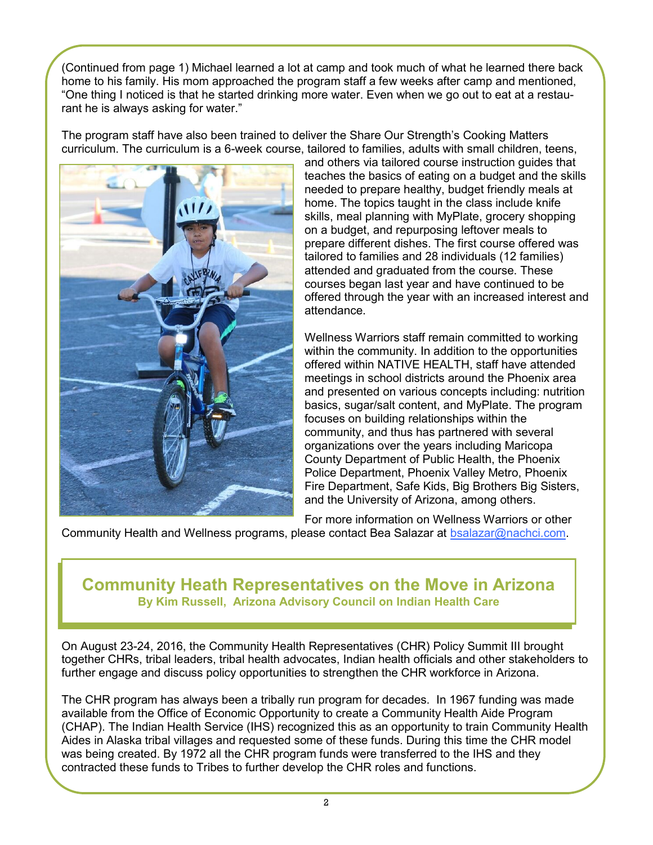(Continued from page 1) Michael learned a lot at camp and took much of what he learned there back home to his family. His mom approached the program staff a few weeks after camp and mentioned, "One thing I noticed is that he started drinking more water. Even when we go out to eat at a restaurant he is always asking for water."

The program staff have also been trained to deliver the Share Our Strength's Cooking Matters curriculum. The curriculum is a 6-week course, tailored to families, adults with small children, teens,



and others via tailored course instruction guides that teaches the basics of eating on a budget and the skills needed to prepare healthy, budget friendly meals at home. The topics taught in the class include knife skills, meal planning with MyPlate, grocery shopping on a budget, and repurposing leftover meals to prepare different dishes. The first course offered was tailored to families and 28 individuals (12 families) attended and graduated from the course. These courses began last year and have continued to be offered through the year with an increased interest and attendance.

Wellness Warriors staff remain committed to working within the community. In addition to the opportunities offered within NATIVE HEALTH, staff have attended meetings in school districts around the Phoenix area and presented on various concepts including: nutrition basics, sugar/salt content, and MyPlate. The program focuses on building relationships within the community, and thus has partnered with several organizations over the years including Maricopa County Department of Public Health, the Phoenix Police Department, Phoenix Valley Metro, Phoenix Fire Department, Safe Kids, Big Brothers Big Sisters, and the University of Arizona, among others.

For more information on Wellness Warriors or other

Community Health and Wellness programs, please contact Bea Salazar at [bsalazar@nachci.com.](mailto:bsalazar@nachci.com) 

#### **Community Heath Representatives on the Move in Arizona By Kim Russell, Arizona Advisory Council on Indian Health Care**

On August 23-24, 2016, the Community Health Representatives (CHR) Policy Summit III brought together CHRs, tribal leaders, tribal health advocates, Indian health officials and other stakeholders to further engage and discuss policy opportunities to strengthen the CHR workforce in Arizona.

The CHR program has always been a tribally run program for decades. In 1967 funding was made available from the Office of Economic Opportunity to create a Community Health Aide Program (CHAP). The Indian Health Service (IHS) recognized this as an opportunity to train Community Health Aides in Alaska tribal villages and requested some of these funds. During this time the CHR model was being created. By 1972 all the CHR program funds were transferred to the IHS and they contracted these funds to Tribes to further develop the CHR roles and functions.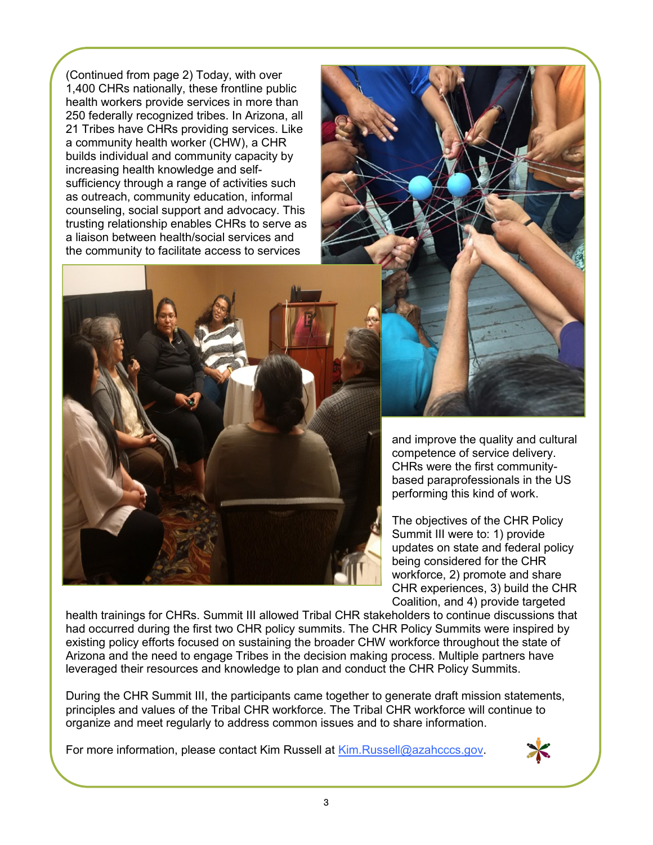(Continued from page 2) Today, with over 1,400 CHRs nationally, these frontline public health workers provide services in more than 250 federally recognized tribes. In Arizona, all 21 Tribes have CHRs providing services. Like a community health worker (CHW), a CHR builds individual and community capacity by increasing health knowledge and selfsufficiency through a range of activities such as outreach, community education, informal counseling, social support and advocacy. This trusting relationship enables CHRs to serve as a liaison between health/social services and the community to facilitate access to services



and improve the quality and cultural competence of service delivery. CHRs were the first communitybased paraprofessionals in the US performing this kind of work.

The objectives of the CHR Policy Summit III were to: 1) provide updates on state and federal policy being considered for the CHR workforce, 2) promote and share CHR experiences, 3) build the CHR Coalition, and 4) provide targeted

health trainings for CHRs. Summit III allowed Tribal CHR stakeholders to continue discussions that had occurred during the first two CHR policy summits. The CHR Policy Summits were inspired by existing policy efforts focused on sustaining the broader CHW workforce throughout the state of Arizona and the need to engage Tribes in the decision making process. Multiple partners have leveraged their resources and knowledge to plan and conduct the CHR Policy Summits.

During the CHR Summit III, the participants came together to generate draft mission statements, principles and values of the Tribal CHR workforce. The Tribal CHR workforce will continue to organize and meet regularly to address common issues and to share information.

For more information, please contact Kim Russell at [Kim.Russell@azahcccs.gov.](mailto:Kim.Russell@azahcccs.gov)

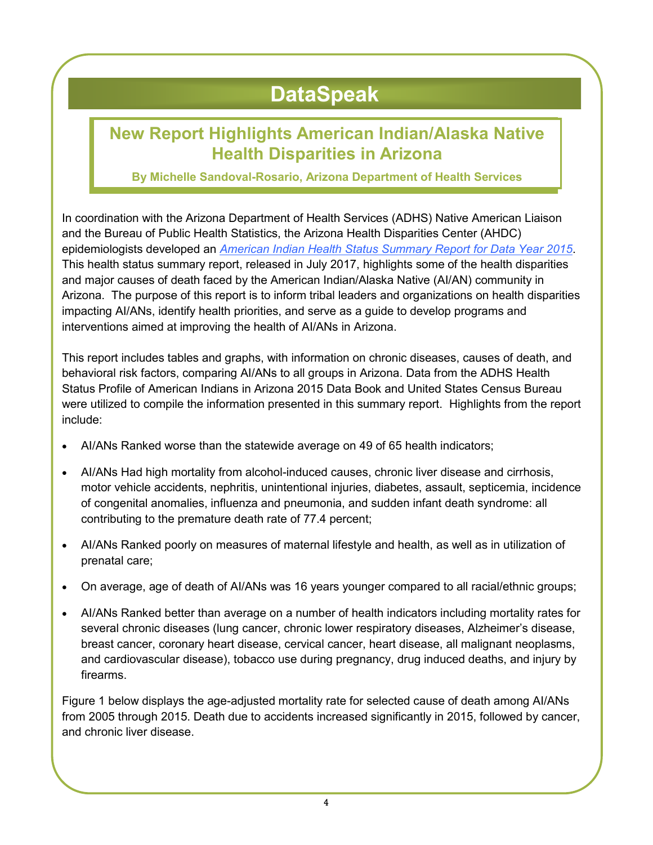# **DataSpeak**

### **New Report Highlights American Indian/Alaska Native Health Disparities in Arizona**

**By Michelle Sandoval-Rosario, Arizona Department of Health Services**

In coordination with the Arizona Department of Health Services (ADHS) Native American Liaison and the Bureau of Public Health Statistics, the Arizona Health Disparities Center (AHDC) epidemiologists developed an *[American Indian Health Status Summary Report for Data Year 2015](http://www.azdhs.gov/documents/director/tribal-liaison/health-status-report-2015.pdf.)*. This health status summary report, released in July 2017, highlights some of the health disparities and major causes of death faced by the American Indian/Alaska Native (AI/AN) community in Arizona. The purpose of this report is to inform tribal leaders and organizations on health disparities impacting AI/ANs, identify health priorities, and serve as a guide to develop programs and interventions aimed at improving the health of AI/ANs in Arizona.

This report includes tables and graphs, with information on chronic diseases, causes of death, and behavioral risk factors, comparing AI/ANs to all groups in Arizona. Data from the ADHS Health Status Profile of American Indians in Arizona 2015 Data Book and United States Census Bureau were utilized to compile the information presented in this summary report. Highlights from the report include:

- AI/ANs Ranked worse than the statewide average on 49 of 65 health indicators;
- AI/ANs Had high mortality from alcohol-induced causes, chronic liver disease and cirrhosis, motor vehicle accidents, nephritis, unintentional injuries, diabetes, assault, septicemia, incidence of congenital anomalies, influenza and pneumonia, and sudden infant death syndrome: all contributing to the premature death rate of 77.4 percent;
- AI/ANs Ranked poorly on measures of maternal lifestyle and health, as well as in utilization of prenatal care;
- On average, age of death of AI/ANs was 16 years younger compared to all racial/ethnic groups;
- AI/ANs Ranked better than average on a number of health indicators including mortality rates for several chronic diseases (lung cancer, chronic lower respiratory diseases, Alzheimer's disease, breast cancer, coronary heart disease, cervical cancer, heart disease, all malignant neoplasms, and cardiovascular disease), tobacco use during pregnancy, drug induced deaths, and injury by firearms.

Figure 1 below displays the age-adjusted mortality rate for selected cause of death among AI/ANs from 2005 through 2015. Death due to accidents increased significantly in 2015, followed by cancer, and chronic liver disease.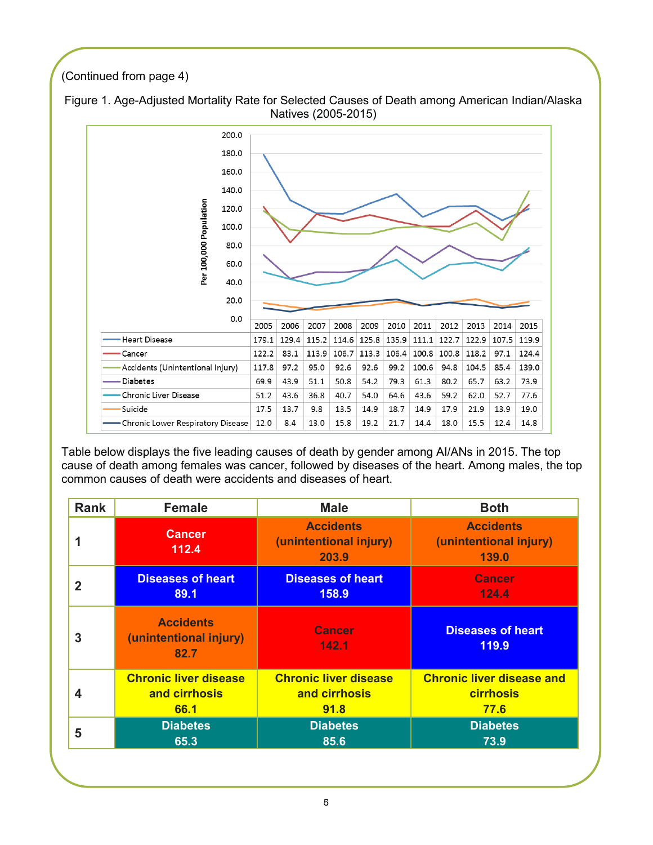#### (Continued from page 4)



Figure 1. Age-Adjusted Mortality Rate for Selected Causes of Death among American Indian/Alaska Natives (2005-2015)

Table below displays the five leading causes of death by gender among AI/ANs in 2015. The top cause of death among females was cancer, followed by diseases of the heart. Among males, the top common causes of death were accidents and diseases of heart.

| <b>Rank</b> | <b>Female</b>                                      | <b>Male</b>                                         | <b>Both</b>                                                |
|-------------|----------------------------------------------------|-----------------------------------------------------|------------------------------------------------------------|
|             | <b>Cancer</b><br>112.4                             | <b>Accidents</b><br>(unintentional injury)<br>203.9 | <b>Accidents</b><br>(unintentional injury)<br><b>139.0</b> |
| 2           | <b>Diseases of heart</b>                           | <b>Diseases of heart</b>                            | <b>Cancer</b>                                              |
|             | 89.1                                               | 158.9                                               | 124.4                                                      |
| 3           | <b>Accidents</b><br>(unintentional injury)<br>82.7 | <b>Cancer</b><br>142.1                              | <b>Diseases of heart</b><br>119.9                          |
| 4           | <b>Chronic liver disease</b>                       | <b>Chronic liver disease</b>                        | <b>Chronic liver disease and</b>                           |
|             | and cirrhosis                                      | and cirrhosis                                       | <b>cirrhosis</b>                                           |
|             | 66.1                                               | 91.8                                                | 77.6                                                       |
| 5           | <b>Diabetes</b>                                    | <b>Diabetes</b>                                     | <b>Diabetes</b>                                            |
|             | 65.3                                               | 85.6                                                | 73.9                                                       |